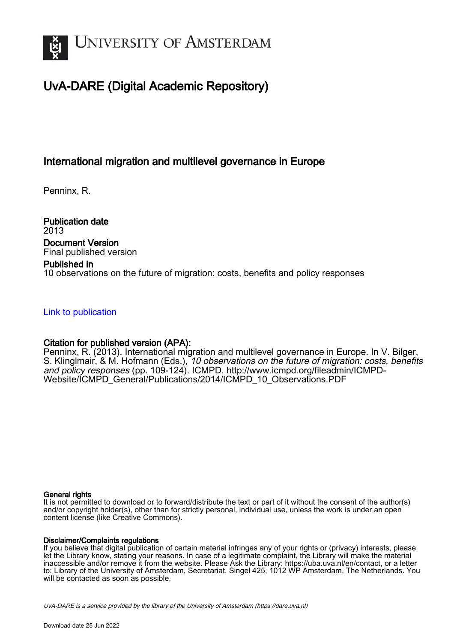

# UvA-DARE (Digital Academic Repository)

## International migration and multilevel governance in Europe

Penninx, R.

Publication date 2013 Document Version Final published version

## Published in

10 observations on the future of migration: costs, benefits and policy responses

## [Link to publication](https://dare.uva.nl/personal/pure/en/publications/international-migration-and-multilevel-governance-in-europe(2c58d024-cc59-40e2-9845-eb094733b8ab).html)

## Citation for published version (APA):

Penninx, R. (2013). International migration and multilevel governance in Europe. In V. Bilger, S. Klinglmair, & M. Hofmann (Eds.), 10 observations on the future of migration: costs, benefits and policy responses (pp. 109-124). ICMPD. [http://www.icmpd.org/fileadmin/ICMPD-](http://www.icmpd.org/fileadmin/ICMPD-Website/ICMPD_General/Publications/2014/ICMPD_10_Observations.PDF)[Website/ICMPD\\_General/Publications/2014/ICMPD\\_10\\_Observations.PDF](http://www.icmpd.org/fileadmin/ICMPD-Website/ICMPD_General/Publications/2014/ICMPD_10_Observations.PDF)

## General rights

It is not permitted to download or to forward/distribute the text or part of it without the consent of the author(s) and/or copyright holder(s), other than for strictly personal, individual use, unless the work is under an open content license (like Creative Commons).

## Disclaimer/Complaints regulations

If you believe that digital publication of certain material infringes any of your rights or (privacy) interests, please let the Library know, stating your reasons. In case of a legitimate complaint, the Library will make the material inaccessible and/or remove it from the website. Please Ask the Library: https://uba.uva.nl/en/contact, or a letter to: Library of the University of Amsterdam, Secretariat, Singel 425, 1012 WP Amsterdam, The Netherlands. You will be contacted as soon as possible.

UvA-DARE is a service provided by the library of the University of Amsterdam (http*s*://dare.uva.nl)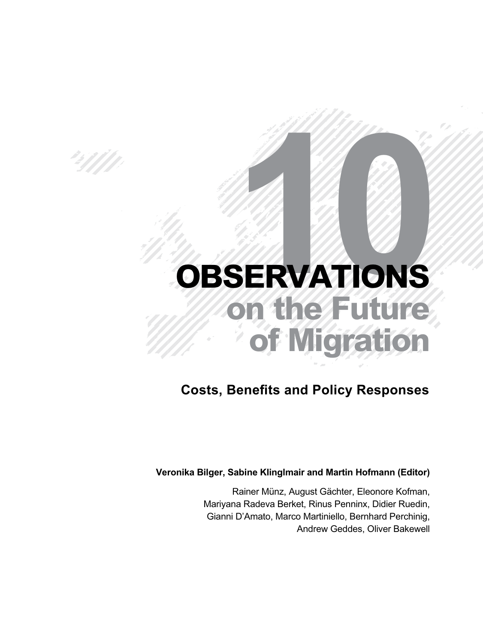# H B

# **BSERVATIONS on the Future of Migration**

## *Costs, Benefits and Policy Responses*

## *Veronika Bilger, Sabine Klinglmair and Martin Hofmann (Editor)*

*Rainer Münz, August Gächter, Eleonore Kofman, Mariyana Radeva Berket, Rinus Penninx, Didier Ruedin, Gianni D'Amato, Marco Martiniello, Bernhard Perchinig, Andrew Geddes, Oliver Bakewell*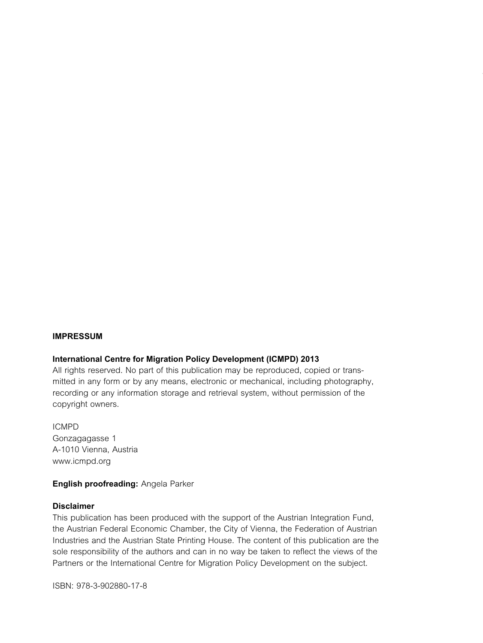#### *Impressum*

#### *International Centre for Migration Policy Development (ICMPD) 2013*

*All rights reserved. No part of this publication may be reproduced, copied or transmitted in any form or by any means, electronic or mechanical, including photography, recording or any information storage and retrieval system, without permission of the copyright owners.*

*ICMPD Gonzagagasse 1 A-1010 Vienna, Austria www.icmpd.org*

#### *English proofreading: Angela Parker*

#### *Disclaimer*

*This publication has been produced with the support of the Austrian Integration Fund, the Austrian Federal Economic Chamber, the City of Vienna, the Federation of Austrian Industries and the Austrian State Printing House. The content of this publication are the*  sole responsibility of the authors and can in no way be taken to reflect the views of the *Partners or the International Centre for Migration Policy Development on the subject.*

*ISBN: 978-3-902880-17-8*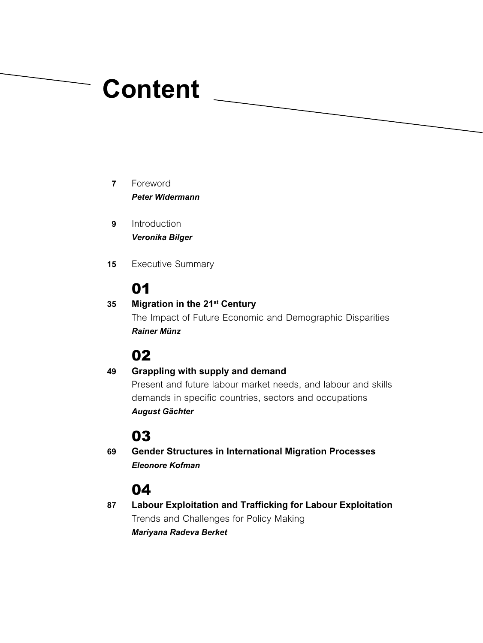# *Content*

- *Foreword Peter Widermann 7*
- *Introduction Veronika Bilger 9*
- *Executive Summary 15*

# *01*

#### *Migration in the 21st Century 35*

*The Impact of Future Economic and Demographic Disparities Rainer Münz*

## *02*

#### *Grappling with supply and demand Present and future labour market needs, and labour and skills demands in specific countries, sectors and occupations August Gächter 49*

## *03*

*Gender Structures in International Migration Processes Eleonore Kofman 69*

## *04*

*Labour Exploitation and Trafficking for Labour Exploitation Trends and Challenges for Policy Making Mariyana Radeva Berket 87*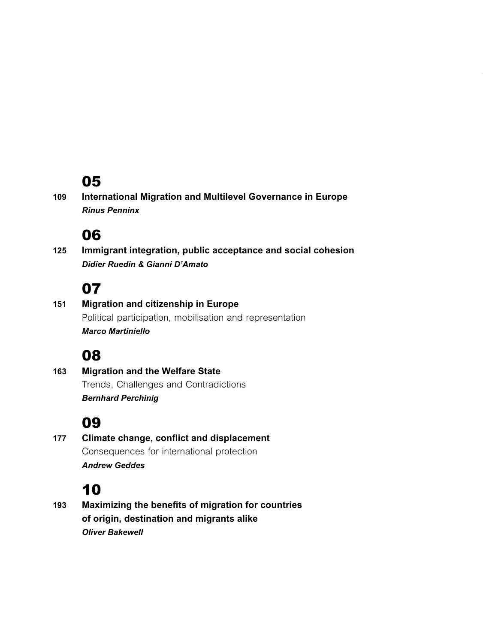```
International Migration and Multilevel Governance in Europe
      Rinus Penninx
109
```
## *06*

*Immigrant integration, public acceptance and social cohesion Didier Ruedin & Gianni D'Amato 125*

## *07*

*Migration and citizenship in Europe Political participation, mobilisation and representation Marco Martiniello 151*

## *08*

*Migration and the Welfare State Trends, Challenges and Contradictions Bernhard Perchinig 163*

## *09*

*Climate change, conflict and displacement Consequences for international protection Andrew Geddes 177*

# *10*

*Maximizing the benefits of migration for countries of origin, destination and migrants alike Oliver Bakewell 193*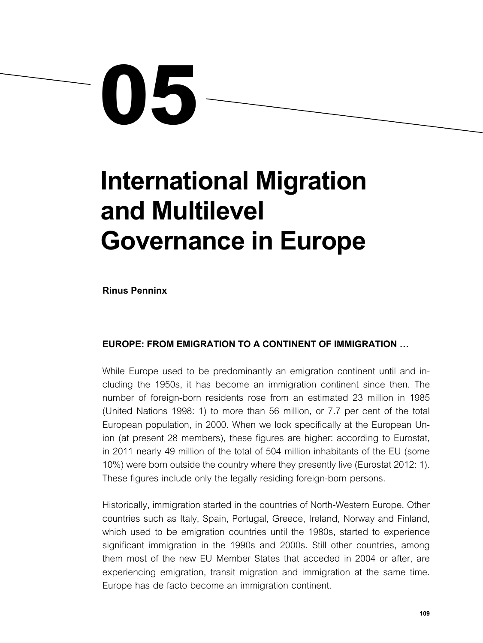

# *International Migration and Multilevel Governance in Europe*

*Rinus Penninx*

### *Europe: from emigration to a continent of immigration …*

*While Europe used to be predominantly an emigration continent until and including the 1950s, it has become an immigration continent since then. The number of foreign-born residents rose from an estimated 23 million in 1985 (United Nations 1998: 1) to more than 56 million, or 7.7 per cent of the total European population, in 2000. When we look specifically at the European Union (at present 28 members), these figures are higher: according to Eurostat,*  in 2011 nearly 49 million of the total of 504 million inhabitants of the EU (some *10%) were born outside the country where they presently live (Eurostat 2012: 1). These figures include only the legally residing foreign-born persons.*

*Historically, immigration started in the countries of North-Western Europe. Other countries such as Italy, Spain, Portugal, Greece, Ireland, Norway and Finland,*  which used to be emigration countries until the 1980s, started to experience significant immigration in the 1990s and 2000s. Still other countries, among them most of the new EU Member States that acceded in 2004 or after, are *experiencing emigration, transit migration and immigration at the same time. Europe has de facto become an immigration continent.*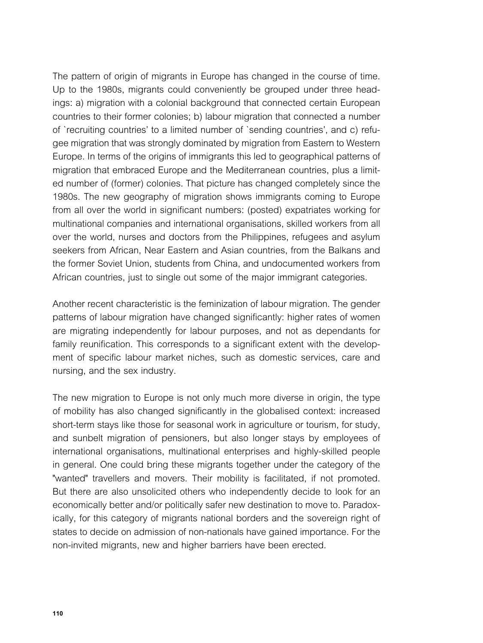*The pattern of origin of migrants in Europe has changed in the course of time. Up to the 1980s, migrants could conveniently be grouped under three headings: a) migration with a colonial background that connected certain European countries to their former colonies; b) labour migration that connected a number of `recruiting countries' to a limited number of `sending countries', and c) refugee migration that was strongly dominated by migration from Eastern to Western Europe. In terms of the origins of immigrants this led to geographical patterns of migration that embraced Europe and the Mediterranean countries, plus a limited number of (former) colonies. That picture has changed completely since the*  1980s. The new geography of migration shows immigrants coming to Europe *from all over the world in significant numbers: (posted) expatriates working for*  multinational companies and international organisations, skilled workers from all *over the world, nurses and doctors from the Philippines, refugees and asylum seekers from African, Near Eastern and Asian countries, from the Balkans and the former Soviet Union, students from China, and undocumented workers from African countries, just to single out some of the major immigrant categories.*

*Another recent characteristic is the feminization of labour migration. The gender patterns of labour migration have changed significantly: higher rates of women are migrating independently for labour purposes, and not as dependants for family reunification. This corresponds to a significant extent with the development of specific labour market niches, such as domestic services, care and nursing, and the sex industry.*

*The new migration to Europe is not only much more diverse in origin, the type of mobility has also changed significantly in the globalised context: increased short-term stays like those for seasonal work in agriculture or tourism, for study, and sunbelt migration of pensioners, but also longer stays by employees of international organisations, multinational enterprises and highly-skilled people*  in general. One could bring these migrants together under the category of the *"wanted" travellers and movers. Their mobility is facilitated, if not promoted.*  But there are also unsolicited others who independently decide to look for an *economically better and/or politically safer new destination to move to. Paradoxically, for this category of migrants national borders and the sovereign right of states to decide on admission of non-nationals have gained importance. For the non-invited migrants, new and higher barriers have been erected.*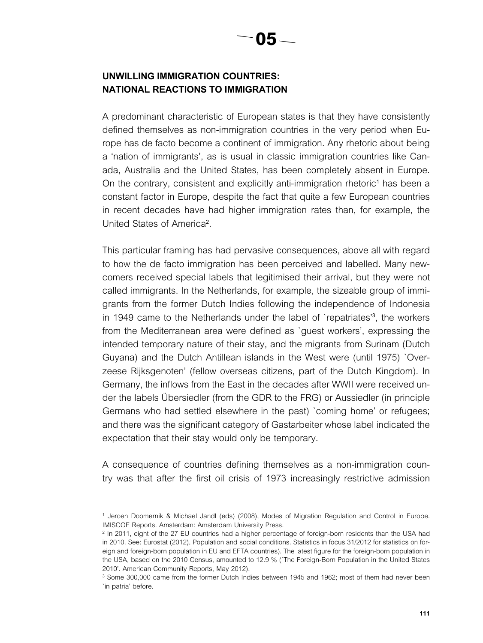## *Unwilling immigration countries: national reactions to immigration*

*A predominant characteristic of European states is that they have consistently defined themselves as non-immigration countries in the very period when Eu*rope has de facto become a continent of immigration. Any rhetoric about being *a 'nation of immigrants', as is usual in classic immigration countries like Can*ada, Australia and the United States, has been completely absent in Europe. *On the contrary, consistent and explicitly anti-immigration rhetoric<sup>1</sup> has been a constant factor in Europe, despite the fact that quite a few European countries in recent decades have had higher immigration rates than, for example, the United States of America<sup>2</sup> .*

*This particular framing has had pervasive consequences, above all with regard to how the de facto immigration has been perceived and labelled. Many newcomers received special labels that legitimised their arrival, but they were not called immigrants. In the Netherlands, for example, the sizeable group of immigrants from the former Dutch Indies following the independence of Indonesia in 1949 came to the Netherlands under the label of `repatriates'<sup>3</sup> , the workers from the Mediterranean area were defined as `guest workers', expressing the intended temporary nature of their stay, and the migrants from Surinam (Dutch Guyana) and the Dutch Antillean islands in the West were (until 1975) `Over*zeese Rijksgenoten' (fellow overseas citizens, part of the Dutch Kingdom). In *Germany, the inflows from the East in the decades after WWII were received under the labels Übersiedler (from the GDR to the FRG) or Aussiedler (in principle Germans who had settled elsewhere in the past) `coming home' or refugees;*  and there was the significant category of Gastarbeiter whose label indicated the *expectation that their stay would only be temporary.*

*A consequence of countries defining themselves as a non-immigration country was that after the first oil crisis of 1973 increasingly restrictive admission* 

*<sup>1</sup> Jeroen Doomernik & Michael Jandl (eds) (2008), Modes of Migration Regulation and Control in Europe. IMISCOE Reports. Amsterdam: Amsterdam University Press.*

*<sup>2</sup> In 2011, eight of the 27 EU countries had a higher percentage of foreign-born residents than the USA had in 2010. See: Eurostat (2012), Population and social conditions. Statistics in focus 31/2012 for statistics on foreign and foreign-born population in EU and EFTA countries). The latest figure for the foreign-born population in the USA, based on the 2010 Census, amounted to 12.9 % (`The Foreign-Born Population in the United States 2010'. American Community Reports, May 2012).*

<sup>&</sup>lt;sup>3</sup> Some 300,000 came from the former Dutch Indies between 1945 and 1962; most of them had never been *`in patria' before.*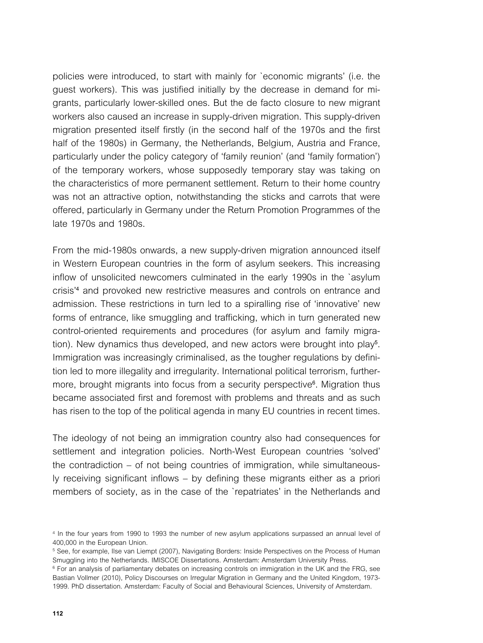*policies were introduced, to start with mainly for `economic migrants' (i.e. the guest workers). This was justified initially by the decrease in demand for migrants, particularly lower-skilled ones. But the de facto closure to new migrant*  workers also caused an increase in supply-driven migration. This supply-driven *migration presented itself firstly (in the second half of the 1970s and the first half of the 1980s) in Germany, the Netherlands, Belgium, Austria and France, particularly under the policy category of 'family reunion' (and 'family formation') of the temporary workers, whose supposedly temporary stay was taking on the characteristics of more permanent settlement. Return to their home country*  was not an attractive option, notwithstanding the sticks and carrots that were *offered, particularly in Germany under the Return Promotion Programmes of the late 1970s and 1980s.*

From the mid-1980s onwards, a new supply-driven migration announced itself in Western European countries in the form of asylum seekers. This increasing *inflow of unsolicited newcomers culminated in the early 1990s in the `asylum crisis'<sup>4</sup> and provoked new restrictive measures and controls on entrance and admission. These restrictions in turn led to a spiralling rise of 'innovative' new forms of entrance, like smuggling and trafficking, which in turn generated new control-oriented requirements and procedures (for asylum and family migration). New dynamics thus developed, and new actors were brought into play<sup>5</sup> . Immigration was increasingly criminalised, as the tougher regulations by definition led to more illegality and irregularity. International political terrorism, furthermore, brought migrants into focus from a security perspective<sup>6</sup> . Migration thus became associated first and foremost with problems and threats and as such has risen to the top of the political agenda in many EU countries in recent times.*

*The ideology of not being an immigration country also had consequences for settlement and integration policies. North-West European countries 'solved' the contradiction – of not being countries of immigration, while simultaneously receiving significant inflows – by defining these migrants either as a priori members of society, as in the case of the `repatriates' in the Netherlands and* 

*<sup>4</sup> In the four years from 1990 to 1993 the number of new asylum applications surpassed an annual level of 400,000 in the European Union.*

*<sup>5</sup> See, for example, Ilse van Liempt (2007), Navigating Borders: Inside Perspectives on the Process of Human Smuggling into the Netherlands. IMISCOE Dissertations. Amsterdam: Amsterdam University Press.*

*<sup>6</sup> For an analysis of parliamentary debates on increasing controls on immigration in the UK and the FRG, see Bastian Vollmer (2010), Policy Discourses on Irregular Migration in Germany and the United Kingdom, 1973- 1999. PhD dissertation. Amsterdam: Faculty of Social and Behavioural Sciences, University of Amsterdam.*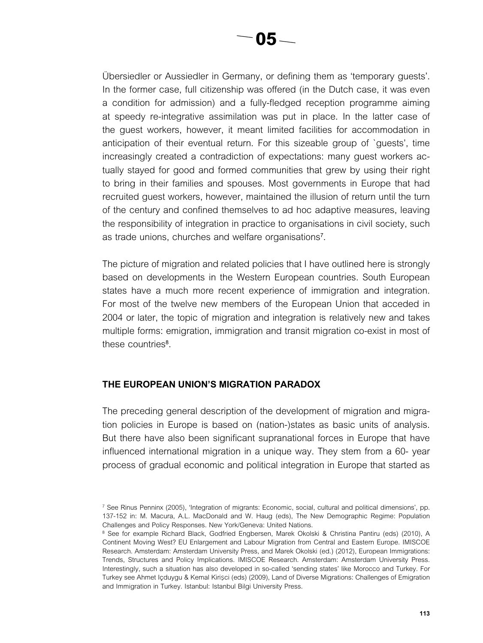*Übersiedler or Aussiedler in Germany, or defining them as 'temporary guests'.*  In the former case, full citizenship was offered (in the Dutch case, it was even *a condition for admission) and a fully-fledged reception programme aiming at speedy re-integrative assimilation was put in place. In the latter case of the guest workers, however, it meant limited facilities for accommodation in anticipation of their eventual return. For this sizeable group of `guests', time increasingly created a contradiction of expectations: many guest workers ac*tually stayed for good and formed communities that grew by using their right *to bring in their families and spouses. Most governments in Europe that had*  recruited guest workers, however, maintained the illusion of return until the turn *of the century and confined themselves to ad hoc adaptive measures, leaving the responsibility of integration in practice to organisations in civil society, such as trade unions, churches and welfare organisations<sup>7</sup> .*

*The picture of migration and related policies that I have outlined here is strongly based on developments in the Western European countries. South European states have a much more recent experience of immigration and integration.*  For most of the twelve new members of the European Union that acceded in *2004 or later, the topic of migration and integration is relatively new and takes*  multiple forms: emigration, immigration and transit migration co-exist in most of *these countries<sup>8</sup> .* 

#### *The European Union's migration paradox*

*The preceding general description of the development of migration and migration policies in Europe is based on (nation-)states as basic units of analysis. But there have also been significant supranational forces in Europe that have influenced international migration in a unique way. They stem from a 60- year process of gradual economic and political integration in Europe that started as* 

*<sup>7</sup> See Rinus Penninx (2005), 'Integration of migrants: Economic, social, cultural and political dimensions', pp.*  137-152 in: M. Macura, A.L. MacDonald and W. Haug (eds), The New Demographic Regime: Population *Challenges and Policy Responses. New York/Geneva: United Nations.*

*<sup>8</sup> See for example Richard Black, Godfried Engbersen, Marek Okolski & Christina Pantiru (eds) (2010), A Continent Moving West? EU Enlargement and Labour Migration from Central and Eastern Europe. IMISCOE Research. Amsterdam: Amsterdam University Press, and Marek Okolski (ed.) (2012), European Immigrations: Trends, Structures and Policy Implications. IMISCOE Research. Amsterdam: Amsterdam University Press. Interestingly, such a situation has also developed in so-called 'sending states' like Morocco and Turkey. For Turkey see Ahmet Içduygu & Kemal Kiri*ş*ci (eds) (2009), Land of Diverse Migrations: Challenges of Emigration and Immigration in Turkey. Istanbul: Istanbul Bilgi University Press.*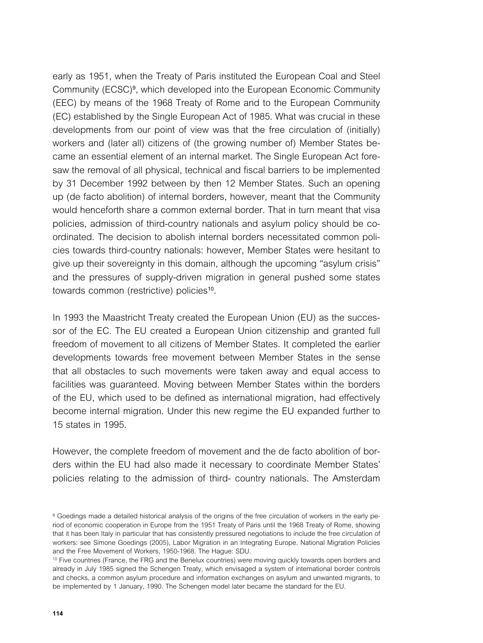early as 1951, when the Treaty of Paris instituted the European Coal and Steel *Community (ECSC)<sup>9</sup> , which developed into the European Economic Community (EEC) by means of the 1968 Treaty of Rome and to the European Community (EC) established by the Single European Act of 1985. What was crucial in these*  developments from our point of view was that the free circulation of (initially) *workers and (later all) citizens of (the growing number of) Member States became an essential element of an internal market. The Single European Act foresaw the removal of all physical, technical and fiscal barriers to be implemented by 31 December 1992 between by then 12 Member States. Such an opening up (de facto abolition) of internal borders, however, meant that the Community would henceforth share a common external border. That in turn meant that visa policies, admission of third-country nationals and asylum policy should be coordinated. The decision to abolish internal borders necessitated common policies towards third-country nationals: however, Member States were hesitant to give up their sovereignty in this domain, although the upcoming "asylum crisis" and the pressures of supply-driven migration in general pushed some states towards common (restrictive) policies10.*

*In 1993 the Maastricht Treaty created the European Union (EU) as the succes*sor of the EC. The EU created a European Union citizenship and granted full freedom of movement to all citizens of Member States. It completed the earlier *developments towards free movement between Member States in the sense that all obstacles to such movements were taken away and equal access to*  facilities was guaranteed. Moving between Member States within the borders *of the EU, which used to be defined as international migration, had effectively become internal migration. Under this new regime the EU expanded further to 15 states in 1995.*

*However, the complete freedom of movement and the de facto abolition of borders within the EU had also made it necessary to coordinate Member States' policies relating to the admission of third- country nationals. The Amsterdam* 

*<sup>9</sup> Goedings made a detailed historical analysis of the origins of the free circulation of workers in the early pe*riod of economic cooperation in Europe from the 1951 Treaty of Paris until the 1968 Treaty of Rome, showing that it has been Italy in particular that has consistently pressured negotiations to include the free circulation of *workers: see Simone Goedings (2005), Labor Migration in an Integrating Europe. National Migration Policies and the Free Movement of Workers, 1950-1968. The Hague: SDU.*

*<sup>10</sup> Five countries (France, the FRG and the Benelux countries) were moving quickly towards open borders and already in July 1985 signed the Schengen Treaty, which envisaged a system of international border controls and checks, a common asylum procedure and information exchanges on asylum and unwanted migrants, to be implemented by 1 January, 1990. The Schengen model later became the standard for the EU.*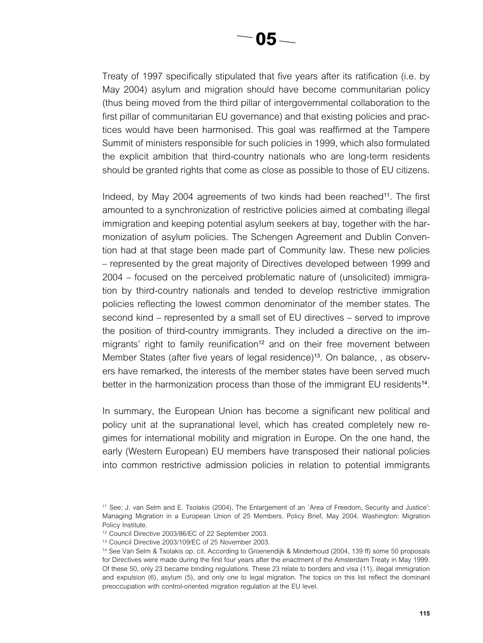*Treaty of 1997 specifically stipulated that five years after its ratification (i.e. by May 2004) asylum and migration should have become communitarian policy (thus being moved from the third pillar of intergovernmental collaboration to the first pillar of communitarian EU governance) and that existing policies and practices would have been harmonised. This goal was reaffirmed at the Tampere Summit of ministers responsible for such policies in 1999, which also formulated the explicit ambition that third-country nationals who are long-term residents should be granted rights that come as close as possible to those of EU citizens.*

*Indeed, by May 2004 agreements of two kinds had been reached11. The first*  amounted to a synchronization of restrictive policies aimed at combating illegal *immigration and keeping potential asylum seekers at bay, together with the harmonization of asylum policies. The Schengen Agreement and Dublin Convention had at that stage been made part of Community law. These new policies – represented by the great majority of Directives developed between 1999 and 2004 – focused on the perceived problematic nature of (unsolicited) immigration by third-country nationals and tended to develop restrictive immigration policies reflecting the lowest common denominator of the member states. The second kind – represented by a small set of EU directives – served to improve the position of third-country immigrants. They included a directive on the immigrants' right to family reunification12 and on their free movement between Member States (after five years of legal residence)13. On balance, , as observers have remarked, the interests of the member states have been served much better in the harmonization process than those of the immigrant EU residents14.*

*In summary, the European Union has become a significant new political and policy unit at the supranational level, which has created completely new regimes for international mobility and migration in Europe. On the one hand, the early (Western European) EU members have transposed their national policies into common restrictive admission policies in relation to potential immigrants* 

*<sup>11</sup> See: J. van Selm and E. Tsolakis (2004), The Enlargement of an `Area of Freedom, Security and Justice': Managing Migration in a European Union of 25 Members. Policy Brief, May 2004. Washington: Migration Policy Institute.*

*<sup>12</sup> Council Directive 2003/86/EC of 22 September 2003.*

*<sup>13</sup> Council Directive 2003/109/EC of 25 November 2003.*

*<sup>14</sup> See Van Selm & Tsolakis op. cit. According to Groenendijk & Minderhoud (2004, 139 ff) some 50 proposals*  for Directives were made during the first four years after the enactment of the Amsterdam Treaty in May 1999. *Of these 50, only 23 became binding regulations. These 23 relate to borders and visa (11), illegal immigration*  and expulsion (6), asylum (5), and only one to legal migration. The topics on this list reflect the dominant *preoccupation with control-oriented migration regulation at the EU level.*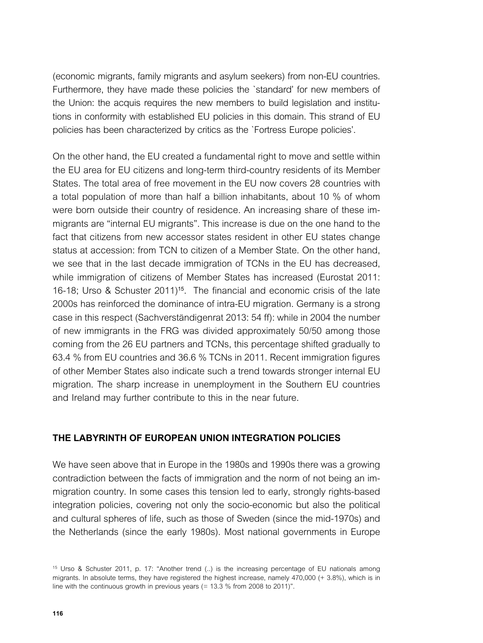*(economic migrants, family migrants and asylum seekers) from non-EU countries.*  Furthermore, they have made these policies the 'standard' for new members of *the Union: the acquis requires the new members to build legislation and institutions in conformity with established EU policies in this domain. This strand of EU policies has been characterized by critics as the `Fortress Europe policies'.*

*On the other hand, the EU created a fundamental right to move and settle within the EU area for EU citizens and long-term third-country residents of its Member States. The total area of free movement in the EU now covers 28 countries with a total population of more than half a billion inhabitants, about 10 % of whom were born outside their country of residence. An increasing share of these immigrants are "internal EU migrants". This increase is due on the one hand to the*  fact that citizens from new accessor states resident in other EU states change *status at accession: from TCN to citizen of a Member State. On the other hand, we see that in the last decade immigration of TCNs in the EU has decreased,*  while immigration of citizens of Member States has increased (Eurostat 2011: *16-18; Urso & Schuster 2011)15. The financial and economic crisis of the late 2000s has reinforced the dominance of intra-EU migration. Germany is a strong case in this respect (Sachverständigenrat 2013: 54 ff): while in 2004 the number of new immigrants in the FRG was divided approximately 50/50 among those coming from the 26 EU partners and TCNs, this percentage shifted gradually to 63.4 % from EU countries and 36.6 % TCNs in 2011. Recent immigration figures of other Member States also indicate such a trend towards stronger internal EU migration. The sharp increase in unemployment in the Southern EU countries and Ireland may further contribute to this in the near future.*

### *The labyrinth of European Union integration policies*

We have seen above that in Europe in the 1980s and 1990s there was a growing *contradiction between the facts of immigration and the norm of not being an immigration country. In some cases this tension led to early, strongly rights-based integration policies, covering not only the socio-economic but also the political and cultural spheres of life, such as those of Sweden (since the mid-1970s) and the Netherlands (since the early 1980s). Most national governments in Europe* 

*<sup>15</sup> Urso & Schuster 2011, p. 17: "Another trend (..) is the increasing percentage of EU nationals among migrants. In absolute terms, they have registered the highest increase, namely 470,000 (+ 3.8%), which is in line with the continuous growth in previous years (= 13.3 % from 2008 to 2011)".*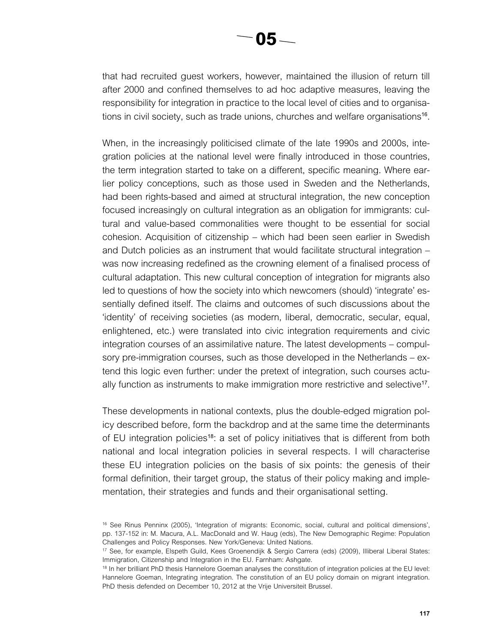*that had recruited guest workers, however, maintained the illusion of return till after 2000 and confined themselves to ad hoc adaptive measures, leaving the responsibility for integration in practice to the local level of cities and to organisations in civil society, such as trade unions, churches and welfare organisations16.*

*When, in the increasingly politicised climate of the late 1990s and 2000s, integration policies at the national level were finally introduced in those countries, the term integration started to take on a different, specific meaning. Where ear*lier policy conceptions, such as those used in Sweden and the Netherlands, had been rights-based and aimed at structural integration, the new conception *focused increasingly on cultural integration as an obligation for immigrants: cul*tural and value-based commonalities were thought to be essential for social *cohesion. Acquisition of citizenship – which had been seen earlier in Swedish and Dutch policies as an instrument that would facilitate structural integration – was now increasing redefined as the crowning element of a finalised process of cultural adaptation. This new cultural conception of integration for migrants also led to questions of how the society into which newcomers (should) 'integrate' es*sentially defined itself. The claims and outcomes of such discussions about the *'identity' of receiving societies (as modern, liberal, democratic, secular, equal, enlightened, etc.) were translated into civic integration requirements and civic integration courses of an assimilative nature. The latest developments – compulsory pre-immigration courses, such as those developed in the Netherlands – extend this logic even further: under the pretext of integration, such courses actually function as instruments to make immigration more restrictive and selective17.*

*These developments in national contexts, plus the double-edged migration policy described before, form the backdrop and at the same time the determinants of EU integration policies18: a set of policy initiatives that is different from both national and local integration policies in several respects. I will characterise these EU integration policies on the basis of six points: the genesis of their formal definition, their target group, the status of their policy making and implementation, their strategies and funds and their organisational setting.*

*<sup>16</sup> See Rinus Penninx (2005), 'Integration of migrants: Economic, social, cultural and political dimensions', pp. 137-152 in: M. Macura, A.L. MacDonald and W. Haug (eds), The New Demographic Regime: Population Challenges and Policy Responses. New York/Geneva: United Nations.*

*<sup>17</sup> See, for example, Elspeth Guild, Kees Groenendijk & Sergio Carrera (eds) (2009), Illiberal Liberal States: Immigration, Citizenship and Integration in the EU. Farnham: Ashgate.*

<sup>&</sup>lt;sup>18</sup> In her brilliant PhD thesis Hannelore Goeman analyses the constitution of integration policies at the EU level: *Hannelore Goeman, Integrating integration. The constitution of an EU policy domain on migrant integration. PhD thesis defended on December 10, 2012 at the Vrije Universiteit Brussel.*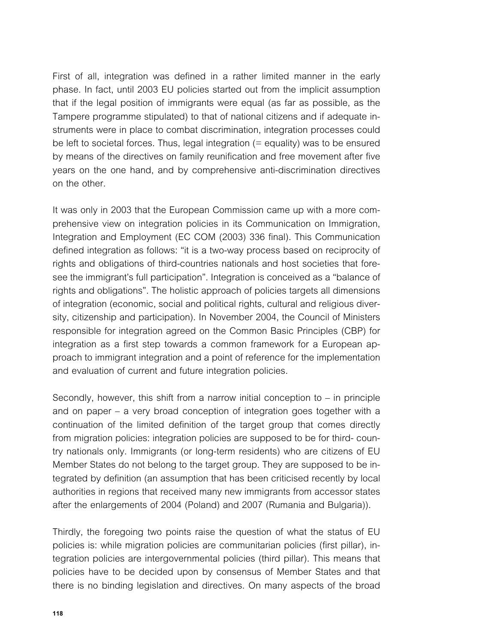First of all, integration was defined in a rather limited manner in the early *phase. In fact, until 2003 EU policies started out from the implicit assumption that if the legal position of immigrants were equal (as far as possible, as the Tampere programme stipulated) to that of national citizens and if adequate instruments were in place to combat discrimination, integration processes could be left to societal forces. Thus, legal integration (= equality) was to be ensured by means of the directives on family reunification and free movement after five years on the one hand, and by comprehensive anti-discrimination directives on the other.*

*It was only in 2003 that the European Commission came up with a more comprehensive view on integration policies in its Communication on Immigration, Integration and Employment (EC COM (2003) 336 final). This Communication*  defined integration as follows: "it is a two-way process based on reciprocity of *rights and obligations of third-countries nationals and host societies that foresee the immigrant's full participation". Integration is conceived as a "balance of rights and obligations". The holistic approach of policies targets all dimensions of integration (economic, social and political rights, cultural and religious diversity, citizenship and participation). In November 2004, the Council of Ministers responsible for integration agreed on the Common Basic Principles (CBP) for integration as a first step towards a common framework for a European approach to immigrant integration and a point of reference for the implementation and evaluation of current and future integration policies.*

*Secondly, however, this shift from a narrow initial conception to – in principle and on paper – a very broad conception of integration goes together with a continuation of the limited definition of the target group that comes directly from migration policies: integration policies are supposed to be for third- country nationals only. Immigrants (or long-term residents) who are citizens of EU Member States do not belong to the target group. They are supposed to be integrated by definition (an assumption that has been criticised recently by local authorities in regions that received many new immigrants from accessor states after the enlargements of 2004 (Poland) and 2007 (Rumania and Bulgaria)).*

*Thirdly, the foregoing two points raise the question of what the status of EU policies is: while migration policies are communitarian policies (first pillar), integration policies are intergovernmental policies (third pillar). This means that policies have to be decided upon by consensus of Member States and that there is no binding legislation and directives. On many aspects of the broad*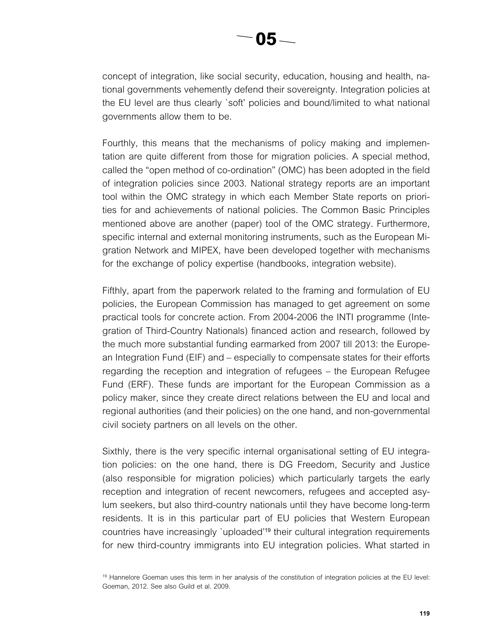*concept of integration, like social security, education, housing and health, national governments vehemently defend their sovereignty. Integration policies at*  the EU level are thus clearly 'soft' policies and bound/limited to what national *governments allow them to be.*

*Fourthly, this means that the mechanisms of policy making and implementation are quite different from those for migration policies. A special method, called the "open method of co-ordination" (OMC) has been adopted in the field of integration policies since 2003. National strategy reports are an important tool within the OMC strategy in which each Member State reports on priorities for and achievements of national policies. The Common Basic Principles mentioned above are another (paper) tool of the OMC strategy. Furthermore, specific internal and external monitoring instruments, such as the European Migration Network and MIPEX, have been developed together with mechanisms for the exchange of policy expertise (handbooks, integration website).*

*Fifthly, apart from the paperwork related to the framing and formulation of EU policies, the European Commission has managed to get agreement on some practical tools for concrete action. From 2004-2006 the INTI programme (Integration of Third-Country Nationals) financed action and research, followed by the much more substantial funding earmarked from 2007 till 2013: the European Integration Fund (EIF) and – especially to compensate states for their efforts regarding the reception and integration of refugees – the European Refugee Fund (ERF). These funds are important for the European Commission as a*  policy maker, since they create direct relations between the EU and local and *regional authorities (and their policies) on the one hand, and non-governmental civil society partners on all levels on the other.*

*Sixthly, there is the very specific internal organisational setting of EU integration policies: on the one hand, there is DG Freedom, Security and Justice (also responsible for migration policies) which particularly targets the early reception and integration of recent newcomers, refugees and accepted asylum seekers, but also third-country nationals until they have become long-term residents. It is in this particular part of EU policies that Western European countries have increasingly `uploaded'19 their cultural integration requirements*  for new third-country immigrants into EU integration policies. What started in

<sup>&</sup>lt;sup>19</sup> Hannelore Goeman uses this term in her analysis of the constitution of integration policies at the EU level: *Goeman, 2012. See also Guild et al. 2009.*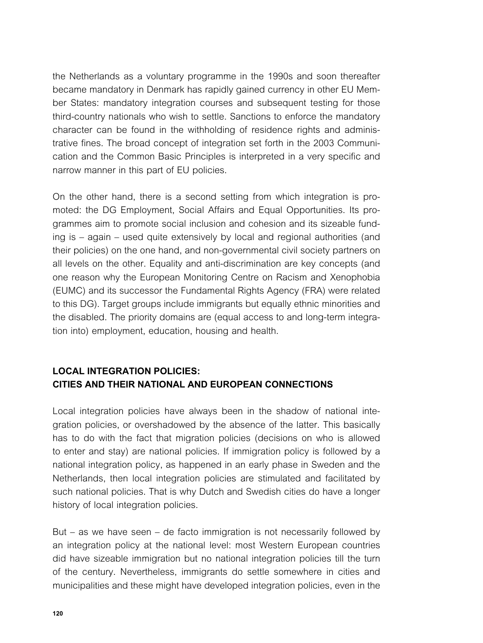*the Netherlands as a voluntary programme in the 1990s and soon thereafter became mandatory in Denmark has rapidly gained currency in other EU Member States: mandatory integration courses and subsequent testing for those third-country nationals who wish to settle. Sanctions to enforce the mandatory character can be found in the withholding of residence rights and administrative fines. The broad concept of integration set forth in the 2003 Communication and the Common Basic Principles is interpreted in a very specific and narrow manner in this part of EU policies.*

*On the other hand, there is a second setting from which integration is promoted: the DG Employment, Social Affairs and Equal Opportunities. Its programmes aim to promote social inclusion and cohesion and its sizeable funding is – again – used quite extensively by local and regional authorities (and their policies) on the one hand, and non-governmental civil society partners on all levels on the other. Equality and anti-discrimination are key concepts (and one reason why the European Monitoring Centre on Racism and Xenophobia (EUMC) and its successor the Fundamental Rights Agency (FRA) were related to this DG). Target groups include immigrants but equally ethnic minorities and the disabled. The priority domains are (equal access to and long-term integration into) employment, education, housing and health.*

## *Local integration policies: cities and their national and European connections*

*Local integration policies have always been in the shadow of national integration policies, or overshadowed by the absence of the latter. This basically*  has to do with the fact that migration policies (decisions on who is allowed *to enter and stay) are national policies. If immigration policy is followed by a national integration policy, as happened in an early phase in Sweden and the Netherlands, then local integration policies are stimulated and facilitated by such national policies. That is why Dutch and Swedish cities do have a longer history of local integration policies.*

*But – as we have seen – de facto immigration is not necessarily followed by an integration policy at the national level: most Western European countries did have sizeable immigration but no national integration policies till the turn of the century. Nevertheless, immigrants do settle somewhere in cities and municipalities and these might have developed integration policies, even in the*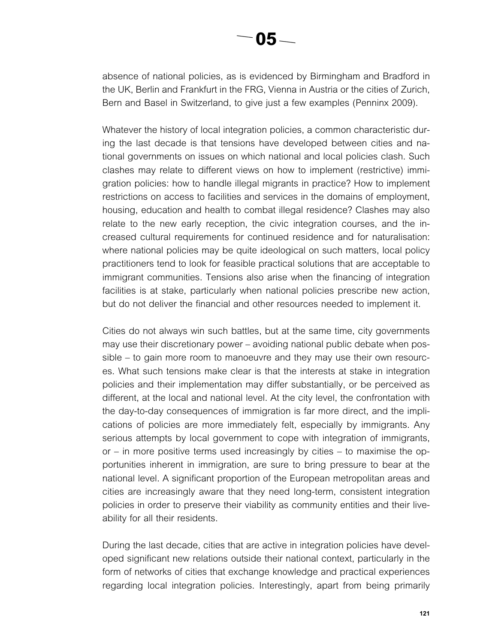*absence of national policies, as is evidenced by Birmingham and Bradford in the UK, Berlin and Frankfurt in the FRG, Vienna in Austria or the cities of Zurich, Bern and Basel in Switzerland, to give just a few examples (Penninx 2009).*

*Whatever the history of local integration policies, a common characteristic during the last decade is that tensions have developed between cities and national governments on issues on which national and local policies clash. Such clashes may relate to different views on how to implement (restrictive) immigration policies: how to handle illegal migrants in practice? How to implement restrictions on access to facilities and services in the domains of employment, housing, education and health to combat illegal residence? Clashes may also relate to the new early reception, the civic integration courses, and the increased cultural requirements for continued residence and for naturalisation: where national policies may be quite ideological on such matters, local policy practitioners tend to look for feasible practical solutions that are acceptable to immigrant communities. Tensions also arise when the financing of integration* facilities is at stake, particularly when national policies prescribe new action, *but do not deliver the financial and other resources needed to implement it.*

*Cities do not always win such battles, but at the same time, city governments may use their discretionary power – avoiding national public debate when possible – to gain more room to manoeuvre and they may use their own resourc*es. What such tensions make clear is that the interests at stake in integration *policies and their implementation may differ substantially, or be perceived as different, at the local and national level. At the city level, the confrontation with the day-to-day consequences of immigration is far more direct, and the implications of policies are more immediately felt, especially by immigrants. Any serious attempts by local government to cope with integration of immigrants, or – in more positive terms used increasingly by cities – to maximise the opportunities inherent in immigration, are sure to bring pressure to bear at the national level. A significant proportion of the European metropolitan areas and cities are increasingly aware that they need long-term, consistent integration policies in order to preserve their viability as community entities and their liveability for all their residents.*

*During the last decade, cities that are active in integration policies have developed significant new relations outside their national context, particularly in the form of networks of cities that exchange knowledge and practical experiences*  regarding local integration policies. Interestingly, apart from being primarily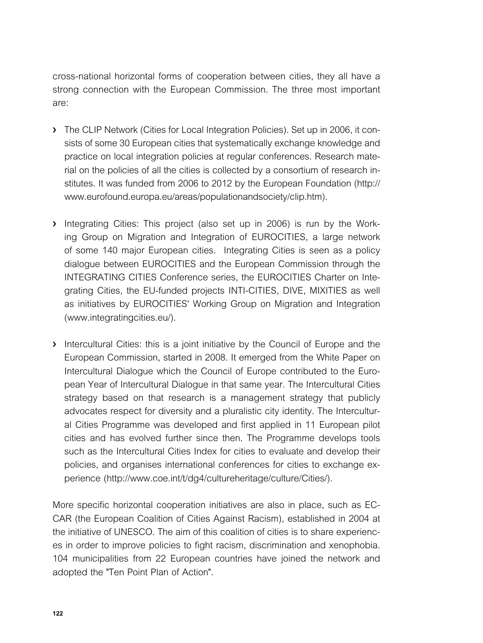*cross-national horizontal forms of cooperation between cities, they all have a strong connection with the European Commission. The three most important are:*

- › *The CLIP Network (Cities for Local Integration Policies). Set up in 2006, it consists of some 30 European cities that systematically exchange knowledge and practice on local integration policies at regular conferences. Research material on the policies of all the cities is collected by a consortium of research institutes. It was funded from 2006 to 2012 by the European Foundation (http:// www.eurofound.europa.eu/areas/populationandsociety/clip.htm).*
- › *Integrating Cities: This project (also set up in 2006) is run by the Working Group on Migration and Integration of EUROCITIES, a large network of some 140 major European cities. Integrating Cities is seen as a policy dialogue between EUROCITIES and the European Commission through the INTEGRATING CITIES Conference series, the EUROCITIES Charter on Inte*grating Cities, the EU-funded projects INTI-CITIES, DIVE, MIXITIES as well *as initiatives by EUROCITIES' Working Group on Migration and Integration (www.integratingcities.eu/).*
- › *Intercultural Cities: this is a joint initiative by the Council of Europe and the European Commission, started in 2008. It emerged from the White Paper on Intercultural Dialogue which the Council of Europe contributed to the European Year of Intercultural Dialogue in that same year. The Intercultural Cities strategy based on that research is a management strategy that publicly advocates respect for diversity and a pluralistic city identity. The Intercultural Cities Programme was developed and first applied in 11 European pilot cities and has evolved further since then. The Programme develops tools such as the Intercultural Cities Index for cities to evaluate and develop their policies, and organises international conferences for cities to exchange experience (http://www.coe.int/t/dg4/cultureheritage/culture/Cities/).*

*More specific horizontal cooperation initiatives are also in place, such as EC-CAR (the European Coalition of Cities Against Racism), established in 2004 at the initiative of UNESCO. The aim of this coalition of cities is to share experiences in order to improve policies to fight racism, discrimination and xenophobia.*  104 municipalities from 22 European countries have joined the network and *adopted the "Ten Point Plan of Action".*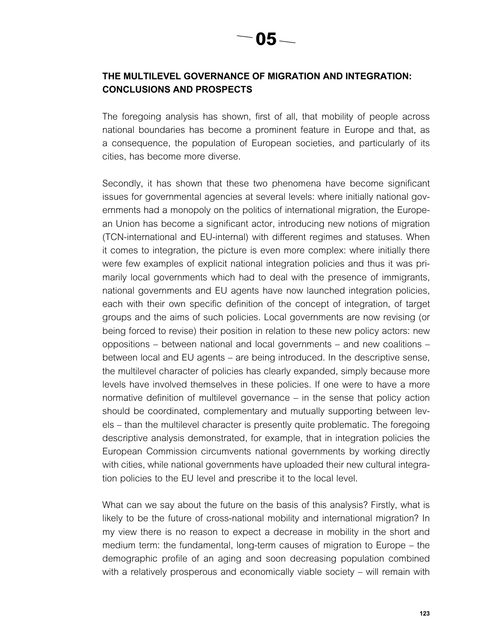## *The multilevel governance of migration and integration: conclusions and prospects*

*The foregoing analysis has shown, first of all, that mobility of people across national boundaries has become a prominent feature in Europe and that, as a consequence, the population of European societies, and particularly of its cities, has become more diverse.*

*Secondly, it has shown that these two phenomena have become significant issues for governmental agencies at several levels: where initially national governments had a monopoly on the politics of international migration, the Europe*an Union has become a significant actor, introducing new notions of migration *(TCN-international and EU-internal) with different regimes and statuses. When it comes to integration, the picture is even more complex: where initially there were few examples of explicit national integration policies and thus it was primarily local governments which had to deal with the presence of immigrants, national governments and EU agents have now launched integration policies,*  each with their own specific definition of the concept of integration, of target *groups and the aims of such policies. Local governments are now revising (or being forced to revise) their position in relation to these new policy actors: new oppositions – between national and local governments – and new coalitions – between local and EU agents – are being introduced. In the descriptive sense, the multilevel character of policies has clearly expanded, simply because more*  levels have involved themselves in these policies. If one were to have a more *normative definition of multilevel governance – in the sense that policy action should be coordinated, complementary and mutually supporting between lev*els – than the multilevel character is presently quite problematic. The foregoing *descriptive analysis demonstrated, for example, that in integration policies the European Commission circumvents national governments by working directly with cities, while national governments have uploaded their new cultural integration policies to the EU level and prescribe it to the local level.*

*What can we say about the future on the basis of this analysis? Firstly, what is*  likely to be the future of cross-national mobility and international migration? In *my view there is no reason to expect a decrease in mobility in the short and medium term: the fundamental, long-term causes of migration to Europe – the demographic profile of an aging and soon decreasing population combined with a relatively prosperous and economically viable society – will remain with*